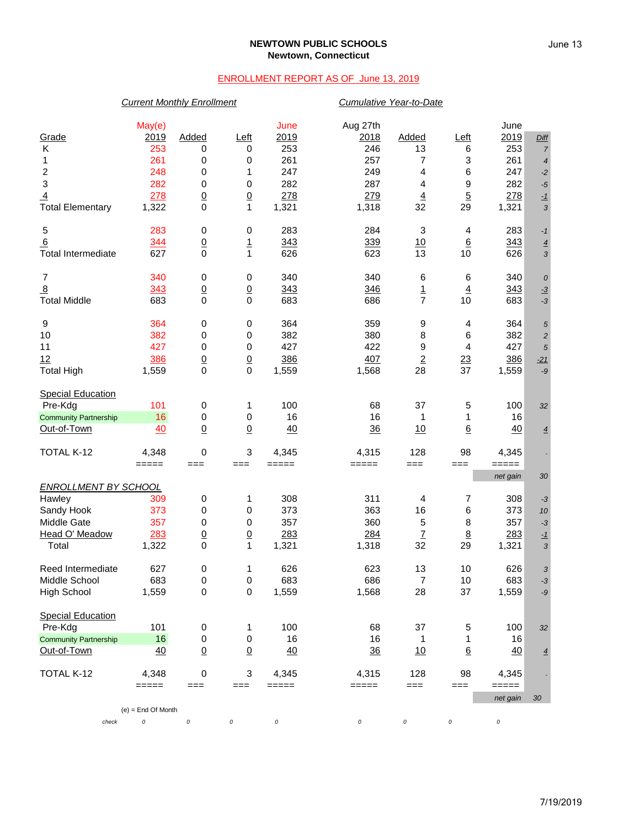### **NEWTOWN PUBLIC SCHOOLS Newtown, Connecticut**

## ENROLLMENT REPORT AS OF June 13, 2019

### *Current Monthly Enrollment Cumulative Year-to-Date*

|                              | May(e)               |                      |                      | June                                                                           | Aug 27th     |                      |                  | June            |                |
|------------------------------|----------------------|----------------------|----------------------|--------------------------------------------------------------------------------|--------------|----------------------|------------------|-----------------|----------------|
| Grade                        | 2019                 | <b>Added</b>         | Left                 | 2019                                                                           | <u>2018</u>  | Added                | Left             | 2019            | <b>Diff</b>    |
| Κ                            | 253                  | 0                    | 0                    | 253                                                                            | 246          | 13                   | 6                | 253             | $\overline{7}$ |
| 1                            | 261                  | 0                    | 0                    | 261                                                                            | 257          | 7                    | 3                | 261             | $\overline{4}$ |
| $\overline{\mathbf{c}}$      | 248                  | 0                    | 1                    | 247                                                                            | 249          | 4                    | 6                | 247             | $-2$           |
| 3                            | 282                  | 0                    | 0                    | 282                                                                            | 287          | 4                    | 9                | 282             | $-5$           |
| $\overline{4}$               | 278                  | $\underline{0}$      | $\overline{0}$       | 278                                                                            | 279          | $\overline{4}$       | $\overline{5}$   | 278             | $-1$           |
| <b>Total Elementary</b>      | 1,322                | $\mathbf 0$          | 1                    | 1,321                                                                          | 1,318        | 32                   | 29               | 1,321           | $\mathfrak{Z}$ |
|                              |                      |                      |                      |                                                                                |              |                      |                  |                 |                |
| 5                            | 283                  | 0                    | 0                    | 283                                                                            | 284          | 3                    | 4                | 283             | $-1$           |
| 6                            | 344                  | $\underline{0}$      | $\mathbf{1}$         | 343                                                                            | 339          | 10                   | 6                | 343             | $\overline{4}$ |
| <b>Total Intermediate</b>    | 627                  | $\pmb{0}$            | $\mathbf{1}$         | 626                                                                            | 623          | 13                   | 10               | 626             | 3              |
| 7                            | 340                  | 0                    | 0                    | 340                                                                            | 340          | 6                    | 6                | 340             | $\cal O$       |
| $\overline{8}$               | 343                  | $\underline{0}$      | $\underline{0}$      | 343                                                                            | 346          | $\overline{1}$       | $\underline{4}$  | 343             | $-3$           |
| <b>Total Middle</b>          | 683                  | 0                    | $\mathbf 0$          | 683                                                                            | 686          | $\overline{7}$       | 10               | 683             | $-3$           |
|                              |                      |                      |                      |                                                                                |              |                      |                  |                 |                |
| 9                            | 364                  | $\pmb{0}$            | 0                    | 364                                                                            | 359          | 9                    | 4                | 364             | $\sqrt{5}$     |
| 10                           | 382                  | 0                    | 0                    | 382                                                                            | 380          | 8                    | 6                | 382             | $\sqrt{2}$     |
| 11                           | 427                  | 0                    | 0                    | 427                                                                            | 422          | 9                    | 4                | 427             | $\sqrt{5}$     |
| 12                           | 386                  | $\frac{0}{0}$        | $\frac{0}{0}$        | 386                                                                            | 407          | $\overline{2}$       | $\frac{23}{2}$   | 386             | $-21$          |
| <b>Total High</b>            | 1,559                |                      |                      | 1,559                                                                          | 1,568        | 28                   | 37               | 1,559           | $-9$           |
| <b>Special Education</b>     |                      |                      |                      |                                                                                |              |                      |                  |                 |                |
| Pre-Kdg                      | 101                  | $\pmb{0}$            | 1                    | 100                                                                            | 68           | 37                   | 5                | 100             | 32             |
| <b>Community Partnership</b> | 16                   | 0                    | 0                    | 16                                                                             | 16           | 1                    | 1                | 16              |                |
| Out-of-Town                  | 40                   | $\underline{0}$      | $\overline{0}$       | 40                                                                             | 36           | 10                   | $6 \overline{6}$ | 40              | $\overline{4}$ |
|                              |                      |                      |                      |                                                                                |              |                      |                  |                 |                |
| TOTAL K-12                   | 4,348                | 0                    | 3                    | 4,345                                                                          | 4,315        | 128                  | 98               | 4,345           |                |
|                              | $=====$              | $==$                 | $==$                 | $=====$                                                                        | =====        | $==$                 | $==$             | $=====$         |                |
| <b>ENROLLMENT BY SCHOOL</b>  |                      |                      |                      |                                                                                |              |                      |                  | net gain        | 30             |
| Hawley                       | 309                  |                      | 1                    | 308                                                                            | 311          | $\overline{4}$       | 7                | 308             |                |
| Sandy Hook                   | 373                  | 0<br>0               | 0                    | 373                                                                            | 363          | 16                   | 6                | 373             | $-3$<br>$10$   |
| Middle Gate                  | 357                  |                      | 0                    | 357                                                                            | 360          |                      |                  | 357             |                |
| Head O' Meadow               |                      | 0                    |                      |                                                                                |              | 5                    | 8                |                 | $-3$           |
|                              | 283<br>1,322         | $\underline{0}$<br>0 | $\underline{0}$<br>1 | 283<br>1,321                                                                   | 284<br>1,318 | $\overline{1}$<br>32 | $\bf{8}$<br>29   | 283<br>1,321    | $-1$           |
| Total                        |                      |                      |                      |                                                                                |              |                      |                  |                 | $\mathfrak{Z}$ |
| Reed Intermediate            | 627                  | 0                    | 1                    | 626                                                                            | 623          | 13                   | 10               | 626             | 3              |
| Middle School                | 683                  | 0                    | 0                    | 683                                                                            | 686          | $\overline{7}$       | 10               | 683             | $-3$           |
| <b>High School</b>           | 1,559                | $\pmb{0}$            | 0                    | 1,559                                                                          | 1,568        | 28                   | 37               | 1,559           | -9             |
| <b>Special Education</b>     |                      |                      |                      |                                                                                |              |                      |                  |                 |                |
| Pre-Kdg                      | 101                  | 0                    | 1                    | 100                                                                            | 68           | 37                   | 5                | 100             | 32             |
| <b>Community Partnership</b> | 16                   | 0                    | 0                    | 16                                                                             | 16           | 1                    | 1                | 16              |                |
| Out-of-Town                  | 40                   | $\underline{0}$      | $\overline{0}$       | $\frac{40}{5}$                                                                 | 36           | 10                   | $\underline{6}$  | 40              |                |
|                              |                      |                      |                      |                                                                                |              |                      |                  |                 | $\overline{4}$ |
| TOTAL K-12                   | 4,348                | 0                    | 3                    | 4,345                                                                          | 4,315        | 128                  | 98               | 4,345           |                |
|                              | $=====$              | $==$                 | $==$                 | $\qquad \qquad \doteq \qquad \qquad \doteq \qquad \qquad \doteq \qquad \qquad$ | $=====$      | $==$                 | $==$             | $=$ $=$ $=$ $=$ |                |
|                              | $(e) =$ End Of Month |                      |                      |                                                                                |              |                      |                  | net gain        | $30\,$         |
| check                        | 0                    | $\cal O$             | 0                    | 0                                                                              | 0            | 0                    | 0                | $\cal O$        |                |